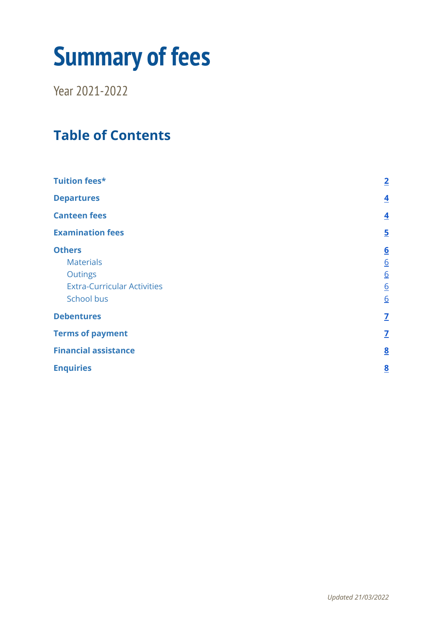# **Summary of fees**

Year 2021-2022

# **Table of Contents**

| <b>Tuition fees*</b>               | $\overline{2}$          |
|------------------------------------|-------------------------|
| <b>Departures</b>                  | $\overline{\mathbf{4}}$ |
| <b>Canteen fees</b>                | $\overline{\mathbf{4}}$ |
| <b>Examination fees</b>            | $\overline{5}$          |
| <b>Others</b>                      | $6 \overline{6}$        |
| <b>Materials</b>                   | $\underline{6}$         |
| <b>Outings</b>                     | $\underline{6}$         |
| <b>Extra-Curricular Activities</b> | $\underline{6}$         |
| School bus                         | 6                       |
| <b>Debentures</b>                  | $\overline{\mathbf{Z}}$ |
| <b>Terms of payment</b>            | $\mathbf{Z}$            |
| <b>Financial assistance</b>        | $\underline{8}$         |
| <b>Enquiries</b>                   | $\overline{\mathbf{8}}$ |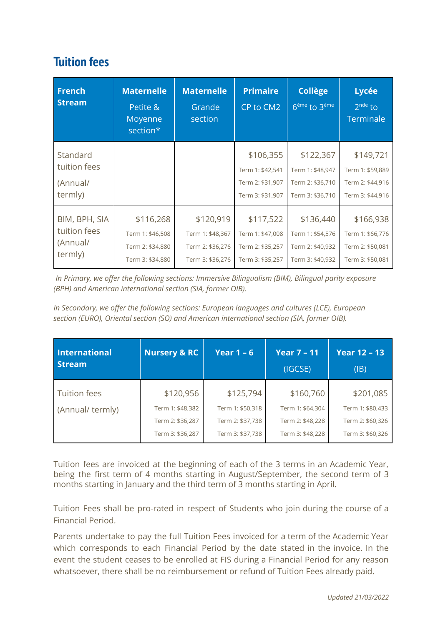## <span id="page-1-0"></span>**Tuition fees**

| <b>French</b><br><b>Stream</b>                       | <b>Maternelle</b><br>Petite &<br>Moyenne<br>section*                  | <b>Maternelle</b><br>Grande<br>section                                | <b>Primaire</b><br>CP to CM2                                          | <b>Collège</b><br>6 <sup>ème</sup> to 3 <sup>ème</sup>                | Lycée<br>$2^{nde}$ to<br>Terminale                                    |
|------------------------------------------------------|-----------------------------------------------------------------------|-----------------------------------------------------------------------|-----------------------------------------------------------------------|-----------------------------------------------------------------------|-----------------------------------------------------------------------|
| Standard<br>tuition fees<br>(Annual/<br>termly)      |                                                                       |                                                                       | \$106,355<br>Term 1: \$42,541<br>Term 2: \$31,907<br>Term 3: \$31,907 | \$122,367<br>Term 1: \$48,947<br>Term 2: \$36,710<br>Term 3: \$36,710 | \$149,721<br>Term 1: \$59,889<br>Term 2: \$44,916<br>Term 3: \$44,916 |
| BIM, BPH, SIA<br>tuition fees<br>(Annual/<br>termly) | \$116,268<br>Term 1: \$46,508<br>Term 2: \$34,880<br>Term 3: \$34,880 | \$120,919<br>Term 1: \$48,367<br>Term 2: \$36,276<br>Term 3: \$36,276 | \$117,522<br>Term 1: \$47,008<br>Term 2: \$35,257<br>Term 3: \$35,257 | \$136,440<br>Term 1: \$54,576<br>Term 2: \$40,932<br>Term 3: \$40,932 | \$166,938<br>Term 1: \$66,776<br>Term 2: \$50,081<br>Term 3: \$50,081 |

*In Primary, we offer the following sections: Immersive Bilingualism (BIM), Bilingual parity exposure (BPH) and American international section (SIA, former OIB).*

*In Secondary, we offer the following sections: European languages and cultures (LCE), European section (EURO), Oriental section (SO) and American international section (SIA, former OIB).*

| <b>International</b><br><b>Stream</b> | <b>Nursery &amp; RC</b> | Year $1 - 6$     | <b>Year 7 - 11</b><br>(IGCSE) | <b>Year 12 - 13</b><br>(IB) |
|---------------------------------------|-------------------------|------------------|-------------------------------|-----------------------------|
| <b>Tuition fees</b>                   | \$120,956               | \$125,794        | \$160,760                     | \$201,085                   |
| (Annual/termly)                       | Term 1: \$48,382        | Term 1: \$50,318 | Term 1: \$64,304              | Term 1: \$80,433            |
|                                       | Term 2: \$36,287        | Term 2: \$37,738 | Term 2: \$48,228              | Term 2: \$60,326            |
|                                       | Term 3: \$36,287        | Term 3: \$37,738 | Term 3: \$48,228              | Term 3: \$60,326            |

Tuition fees are invoiced at the beginning of each of the 3 terms in an Academic Year, being the first term of 4 months starting in August/September, the second term of 3 months starting in January and the third term of 3 months starting in April.

Tuition Fees shall be pro-rated in respect of Students who join during the course of a Financial Period.

Parents undertake to pay the full Tuition Fees invoiced for a term of the Academic Year which corresponds to each Financial Period by the date stated in the invoice. In the event the student ceases to be enrolled at FIS during a Financial Period for any reason whatsoever, there shall be no reimbursement or refund of Tuition Fees already paid.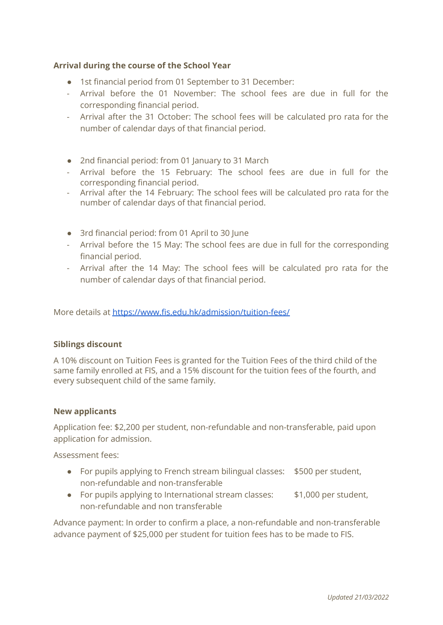#### **Arrival during the course of the School Year**

- 1st financial period from 01 September to 31 December:
- Arrival before the 01 November: The school fees are due in full for the corresponding financial period.
- Arrival after the 31 October: The school fees will be calculated pro rata for the number of calendar days of that financial period.
- 2nd financial period: from 01 January to 31 March
- Arrival before the 15 February: The school fees are due in full for the corresponding financial period.
- Arrival after the 14 February: The school fees will be calculated pro rata for the number of calendar days of that financial period.
- 3rd financial period: from 01 April to 30 June
- Arrival before the 15 May: The school fees are due in full for the corresponding financial period.
- Arrival after the 14 May: The school fees will be calculated pro rata for the number of calendar days of that financial period.

More details at <https://www.fis.edu.hk/admission/tuition-fees/>

#### **Siblings discount**

A 10% discount on Tuition Fees is granted for the Tuition Fees of the third child of the same family enrolled at FIS, and a 15% discount for the tuition fees of the fourth, and every subsequent child of the same family.

#### **New applicants**

Application fee: \$2,200 per student, non-refundable and non-transferable, paid upon application for admission.

Assessment fees:

- For pupils applying to French stream bilingual classes: \$500 per student, non-refundable and non-transferable
- For pupils applying to International stream classes: \$1,000 per student, non-refundable and non transferable

Advance payment: In order to confirm a place, a non-refundable and non-transferable advance payment of \$25,000 per student for tuition fees has to be made to FIS.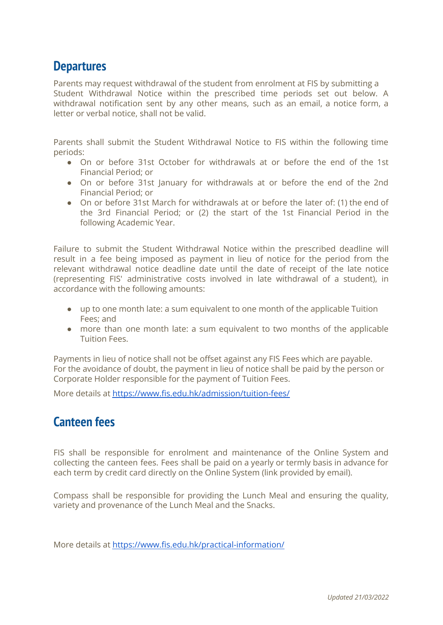## <span id="page-3-0"></span>**Departures**

Parents may request withdrawal of the student from enrolment at FIS by submitting a Student Withdrawal Notice within the prescribed time periods set out below. A withdrawal notification sent by any other means, such as an email, a notice form, a letter or verbal notice, shall not be valid.

Parents shall submit the Student Withdrawal Notice to FIS within the following time periods:

- On or before 31st October for withdrawals at or before the end of the 1st Financial Period; or
- On or before 31st January for withdrawals at or before the end of the 2nd Financial Period; or
- On or before 31st March for withdrawals at or before the later of: (1) the end of the 3rd Financial Period; or (2) the start of the 1st Financial Period in the following Academic Year.

Failure to submit the Student Withdrawal Notice within the prescribed deadline will result in a fee being imposed as payment in lieu of notice for the period from the relevant withdrawal notice deadline date until the date of receipt of the late notice (representing FIS' administrative costs involved in late withdrawal of a student), in accordance with the following amounts:

- up to one month late: a sum equivalent to one month of the applicable Tuition Fees; and
- more than one month late: a sum equivalent to two months of the applicable Tuition Fees.

Payments in lieu of notice shall not be offset against any FIS Fees which are payable. For the avoidance of doubt, the payment in lieu of notice shall be paid by the person or Corporate Holder responsible for the payment of Tuition Fees.

<span id="page-3-1"></span>More details at <https://www.fis.edu.hk/admission/tuition-fees/>

## **Canteen fees**

FIS shall be responsible for enrolment and maintenance of the Online System and collecting the canteen fees. Fees shall be paid on a yearly or termly basis in advance for each term by credit card directly on the Online System (link provided by email).

Compass shall be responsible for providing the Lunch Meal and ensuring the quality, variety and provenance of the Lunch Meal and the Snacks.

More details at <https://www.fis.edu.hk/practical-information/>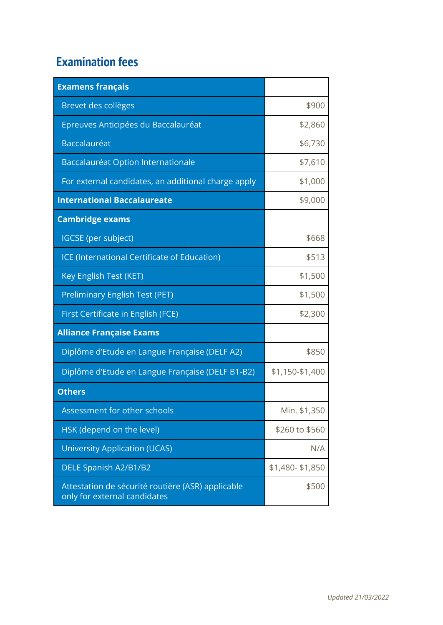# **Examination fees**

| <b>Examens français</b>                                                           |                 |
|-----------------------------------------------------------------------------------|-----------------|
| Brevet des collèges                                                               | \$900           |
| Epreuves Anticipées du Baccalauréat                                               | \$2,860         |
| Baccalauréat                                                                      | \$6,730         |
| Baccalauréat Option Internationale                                                | \$7,610         |
| For external candidates, an additional charge apply                               | \$1,000         |
| <b>International Baccalaureate</b>                                                | \$9,000         |
| <b>Cambridge exams</b>                                                            |                 |
| IGCSE (per subject)                                                               | \$668           |
| ICE (International Certificate of Education)                                      | \$513           |
| Key English Test (KET)                                                            | \$1,500         |
| Preliminary English Test (PET)                                                    | \$1,500         |
| First Certificate in English (FCE)                                                | \$2,300         |
| <b>Alliance Française Exams</b>                                                   |                 |
| Diplôme d'Etude en Langue Française (DELF A2)                                     | \$850           |
| Diplôme d'Etude en Langue Française (DELF B1-B2)                                  | \$1,150-\$1,400 |
| <b>Others</b>                                                                     |                 |
| Assessment for other schools                                                      | Min. \$1,350    |
| HSK (depend on the level)                                                         | \$260 to \$560  |
| University Application (UCAS)                                                     | N/A             |
| DELE Spanish A2/B1/B2                                                             | \$1,480-\$1,850 |
| Attestation de sécurité routière (ASR) applicable<br>only for external candidates | \$500           |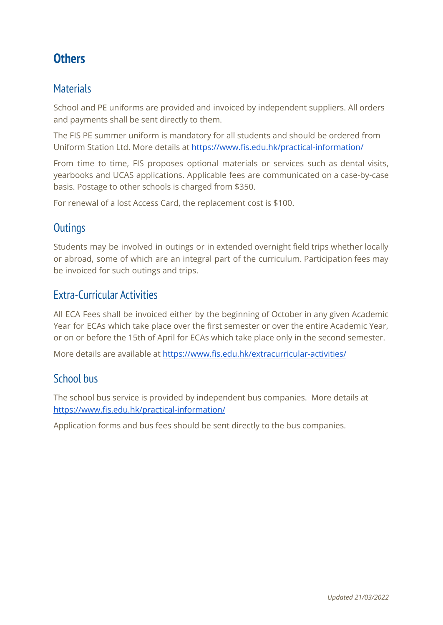# <span id="page-5-0"></span>**Others**

#### <span id="page-5-1"></span>**Materials**

School and PE uniforms are provided and invoiced by independent suppliers. All orders and payments shall be sent directly to them.

The FIS PE summer uniform is mandatory for all students and should be ordered from Uniform Station Ltd. More details at <https://www.fis.edu.hk/practical-information/>

From time to time, FIS proposes optional materials or services such as dental visits, yearbooks and UCAS applications. Applicable fees are communicated on a case-by-case basis. Postage to other schools is charged from \$350.

For renewal of a lost Access Card, the replacement cost is \$100.

## <span id="page-5-2"></span>**Outings**

Students may be involved in outings or in extended overnight field trips whether locally or abroad, some of which are an integral part of the curriculum. Participation fees may be invoiced for such outings and trips.

#### <span id="page-5-3"></span>Extra-Curricular Activities

All ECA Fees shall be invoiced either by the beginning of October in any given Academic Year for ECAs which take place over the first semester or over the entire Academic Year, or on or before the 15th of April for ECAs which take place only in the second semester.

<span id="page-5-4"></span>More details are available a[t](https://www.fis.edu.hk/en/extra-curricular-activities) <https://www.fis.edu.hk/extracurricular-activities/>

#### School bus

The school bus service is provided by independent bus companies. More details at <https://www.fis.edu.hk/practical-information/>

Application forms and bus fees should be sent directly to the bus companies.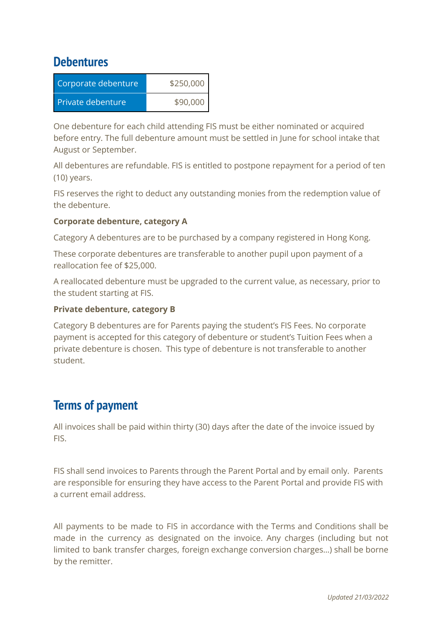### <span id="page-6-0"></span>**Debentures**

| Corporate debenture | \$250,000 |  |
|---------------------|-----------|--|
| Private debenture   | \$90,000  |  |

One debenture for each child attending FIS must be either nominated or acquired before entry. The full debenture amount must be settled in June for school intake that August or September.

All debentures are refundable. FIS is entitled to postpone repayment for a period of ten (10) years.

FIS reserves the right to deduct any outstanding monies from the redemption value of the debenture.

#### **Corporate debenture, category A**

Category A debentures are to be purchased by a company registered in Hong Kong.

These corporate debentures are transferable to another pupil upon payment of a reallocation fee of \$25,000.

A reallocated debenture must be upgraded to the current value, as necessary, prior to the student starting at FIS.

#### **Private debenture, category B**

Category B debentures are for Parents paying the student's FIS Fees. No corporate payment is accepted for this category of debenture or student's Tuition Fees when a private debenture is chosen. This type of debenture is not transferable to another student.

# <span id="page-6-1"></span>**Terms of payment**

All invoices shall be paid within thirty (30) days after the date of the invoice issued by FIS.

FIS shall send invoices to Parents through the Parent Portal and by email only. Parents are responsible for ensuring they have access to the Parent Portal and provide FIS with a current email address.

All payments to be made to FIS in accordance with the Terms and Conditions shall be made in the currency as designated on the invoice. Any charges (including but not limited to bank transfer charges, foreign exchange conversion charges…) shall be borne by the remitter.